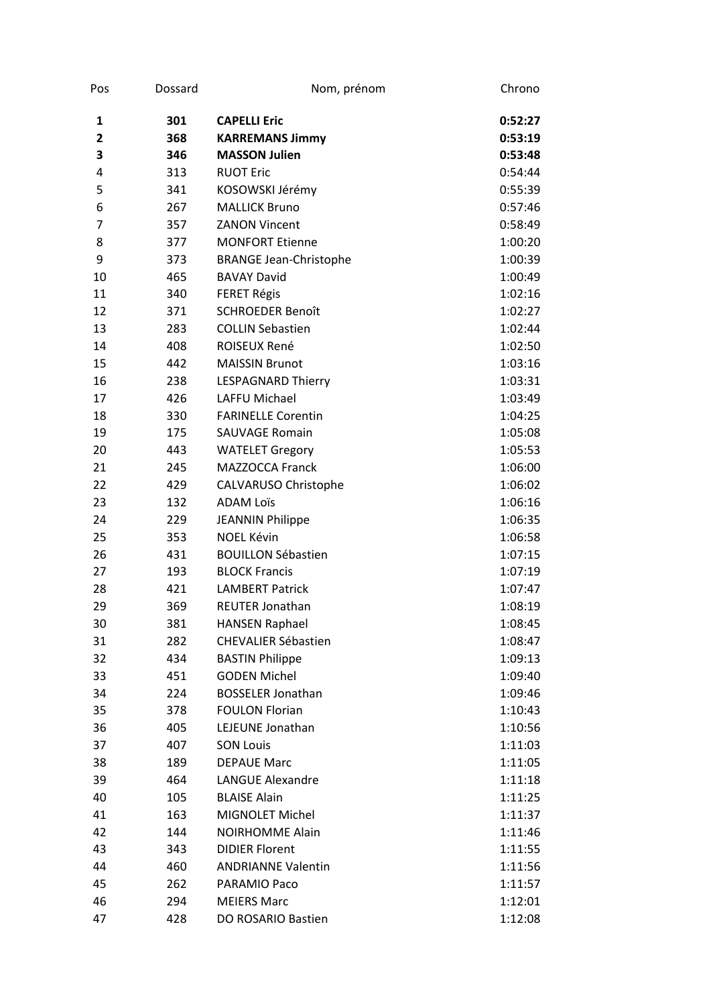| Pos            | Dossard | Nom, prénom                   | Chrono  |
|----------------|---------|-------------------------------|---------|
| 1              | 301     | <b>CAPELLI Eric</b>           | 0:52:27 |
| $\overline{2}$ | 368     | <b>KARREMANS Jimmy</b>        | 0:53:19 |
| 3              | 346     | <b>MASSON Julien</b>          | 0:53:48 |
| 4              | 313     | <b>RUOT Eric</b>              | 0:54:44 |
| 5              | 341     | KOSOWSKI Jérémy               | 0:55:39 |
| 6              | 267     | <b>MALLICK Bruno</b>          | 0:57:46 |
| 7              | 357     | <b>ZANON Vincent</b>          | 0:58:49 |
| 8              | 377     | <b>MONFORT Etienne</b>        | 1:00:20 |
| 9              | 373     | <b>BRANGE Jean-Christophe</b> | 1:00:39 |
| 10             | 465     | <b>BAVAY David</b>            | 1:00:49 |
| 11             | 340     | <b>FERET Régis</b>            | 1:02:16 |
| 12             | 371     | <b>SCHROEDER Benoît</b>       | 1:02:27 |
| 13             | 283     | <b>COLLIN Sebastien</b>       | 1:02:44 |
| 14             | 408     | ROISEUX René                  | 1:02:50 |
| 15             | 442     | <b>MAISSIN Brunot</b>         | 1:03:16 |
| 16             | 238     | <b>LESPAGNARD Thierry</b>     | 1:03:31 |
| 17             | 426     | <b>LAFFU Michael</b>          | 1:03:49 |
| 18             | 330     | <b>FARINELLE Corentin</b>     | 1:04:25 |
| 19             | 175     | <b>SAUVAGE Romain</b>         | 1:05:08 |
| 20             | 443     | <b>WATELET Gregory</b>        | 1:05:53 |
| 21             | 245     | <b>MAZZOCCA Franck</b>        | 1:06:00 |
| 22             | 429     | CALVARUSO Christophe          | 1:06:02 |
| 23             | 132     | <b>ADAM Loïs</b>              | 1:06:16 |
| 24             | 229     | <b>JEANNIN Philippe</b>       | 1:06:35 |
| 25             | 353     | <b>NOEL Kévin</b>             | 1:06:58 |
| 26             | 431     | <b>BOUILLON Sébastien</b>     | 1:07:15 |
| 27             | 193     | <b>BLOCK Francis</b>          | 1:07:19 |
| 28             | 421     | <b>LAMBERT Patrick</b>        | 1:07:47 |
| 29             | 369     | <b>REUTER Jonathan</b>        | 1:08:19 |
| 30             | 381     | <b>HANSEN Raphael</b>         | 1:08:45 |
| 31             | 282     | <b>CHEVALIER Sébastien</b>    | 1:08:47 |
| 32             | 434     | <b>BASTIN Philippe</b>        | 1:09:13 |
| 33             | 451     | <b>GODEN Michel</b>           | 1:09:40 |
| 34             | 224     | <b>BOSSELER Jonathan</b>      | 1:09:46 |
| 35             | 378     | <b>FOULON Florian</b>         | 1:10:43 |
| 36             | 405     | LEJEUNE Jonathan              | 1:10:56 |
| 37             | 407     | <b>SON Louis</b>              | 1:11:03 |
| 38             | 189     | <b>DEPAUE Marc</b>            | 1:11:05 |
| 39             | 464     | <b>LANGUE Alexandre</b>       | 1:11:18 |
| 40             | 105     | <b>BLAISE Alain</b>           | 1:11:25 |
| 41             | 163     | MIGNOLET Michel               | 1:11:37 |
| 42             | 144     | <b>NOIRHOMME Alain</b>        | 1:11:46 |
| 43             | 343     | <b>DIDIER Florent</b>         | 1:11:55 |
| 44             | 460     | <b>ANDRIANNE Valentin</b>     | 1:11:56 |
| 45             | 262     | PARAMIO Paco                  | 1:11:57 |
| 46             | 294     | <b>MEIERS Marc</b>            | 1:12:01 |
| 47             | 428     | DO ROSARIO Bastien            | 1:12:08 |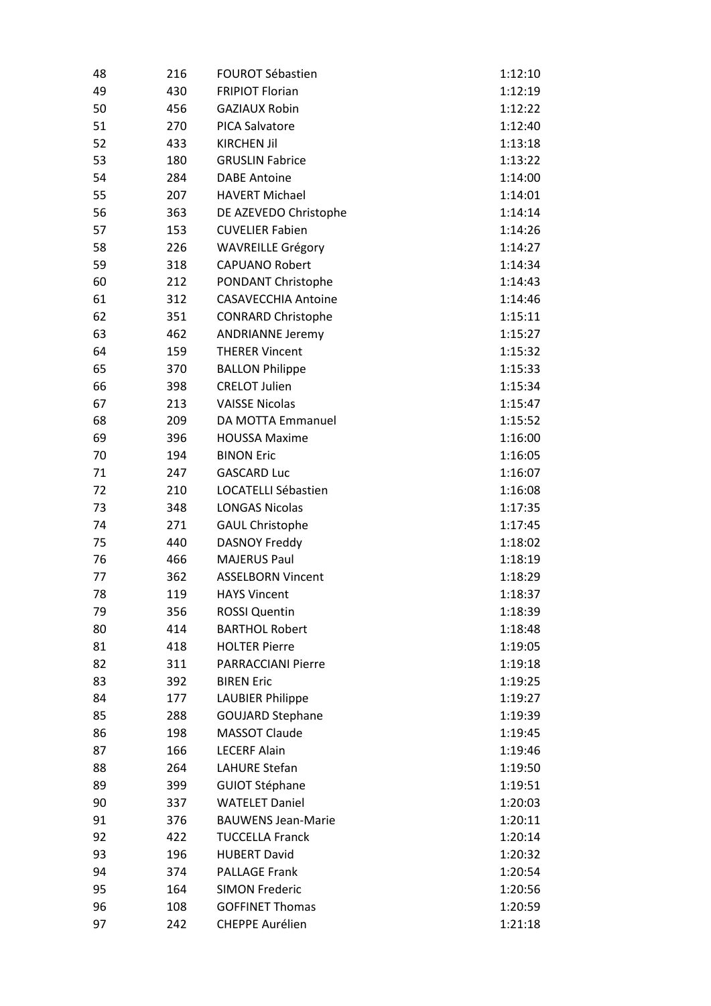| 48 | 216 | <b>FOUROT Sébastien</b>    | 1:12:10 |
|----|-----|----------------------------|---------|
| 49 | 430 | <b>FRIPIOT Florian</b>     | 1:12:19 |
| 50 | 456 | <b>GAZIAUX Robin</b>       | 1:12:22 |
| 51 | 270 | <b>PICA Salvatore</b>      | 1:12:40 |
| 52 | 433 | <b>KIRCHEN Jil</b>         | 1:13:18 |
| 53 | 180 | <b>GRUSLIN Fabrice</b>     | 1:13:22 |
| 54 | 284 | <b>DABE Antoine</b>        | 1:14:00 |
| 55 | 207 | <b>HAVERT Michael</b>      | 1:14:01 |
| 56 | 363 | DE AZEVEDO Christophe      | 1:14:14 |
| 57 | 153 | <b>CUVELIER Fabien</b>     | 1:14:26 |
| 58 | 226 | <b>WAVREILLE Grégory</b>   | 1:14:27 |
| 59 | 318 | <b>CAPUANO Robert</b>      | 1:14:34 |
| 60 | 212 | PONDANT Christophe         | 1:14:43 |
| 61 | 312 | <b>CASAVECCHIA Antoine</b> | 1:14:46 |
| 62 | 351 | <b>CONRARD Christophe</b>  | 1:15:11 |
| 63 | 462 | <b>ANDRIANNE Jeremy</b>    | 1:15:27 |
| 64 | 159 | <b>THERER Vincent</b>      | 1:15:32 |
| 65 | 370 | <b>BALLON Philippe</b>     | 1:15:33 |
| 66 | 398 | <b>CRELOT Julien</b>       | 1:15:34 |
| 67 | 213 | <b>VAISSE Nicolas</b>      | 1:15:47 |
| 68 | 209 | DA MOTTA Emmanuel          | 1:15:52 |
| 69 | 396 | <b>HOUSSA Maxime</b>       | 1:16:00 |
| 70 | 194 | <b>BINON Eric</b>          | 1:16:05 |
| 71 | 247 | <b>GASCARD Luc</b>         | 1:16:07 |
| 72 | 210 | LOCATELLI Sébastien        | 1:16:08 |
| 73 | 348 | <b>LONGAS Nicolas</b>      | 1:17:35 |
| 74 | 271 | <b>GAUL Christophe</b>     | 1:17:45 |
| 75 | 440 | <b>DASNOY Freddy</b>       | 1:18:02 |
| 76 | 466 | <b>MAJERUS Paul</b>        | 1:18:19 |
| 77 | 362 | <b>ASSELBORN Vincent</b>   | 1:18:29 |
| 78 | 119 | <b>HAYS Vincent</b>        | 1:18:37 |
| 79 | 356 | <b>ROSSI Quentin</b>       | 1:18:39 |
| 80 | 414 | <b>BARTHOL Robert</b>      | 1:18:48 |
| 81 | 418 | <b>HOLTER Pierre</b>       | 1:19:05 |
| 82 | 311 | <b>PARRACCIANI Pierre</b>  | 1:19:18 |
| 83 | 392 | <b>BIREN Eric</b>          | 1:19:25 |
| 84 | 177 | <b>LAUBIER Philippe</b>    | 1:19:27 |
| 85 | 288 | <b>GOUJARD Stephane</b>    | 1:19:39 |
| 86 | 198 | <b>MASSOT Claude</b>       | 1:19:45 |
| 87 | 166 | <b>LECERF Alain</b>        | 1:19:46 |
| 88 | 264 | LAHURE Stefan              | 1:19:50 |
| 89 | 399 | <b>GUIOT Stéphane</b>      | 1:19:51 |
| 90 | 337 | <b>WATELET Daniel</b>      | 1:20:03 |
| 91 | 376 | <b>BAUWENS Jean-Marie</b>  | 1:20:11 |
| 92 | 422 | <b>TUCCELLA Franck</b>     | 1:20:14 |
| 93 | 196 | <b>HUBERT David</b>        | 1:20:32 |
| 94 | 374 | <b>PALLAGE Frank</b>       | 1:20:54 |
| 95 | 164 | <b>SIMON Frederic</b>      | 1:20:56 |
| 96 | 108 | <b>GOFFINET Thomas</b>     | 1:20:59 |
| 97 | 242 | <b>CHEPPE Aurélien</b>     | 1:21:18 |
|    |     |                            |         |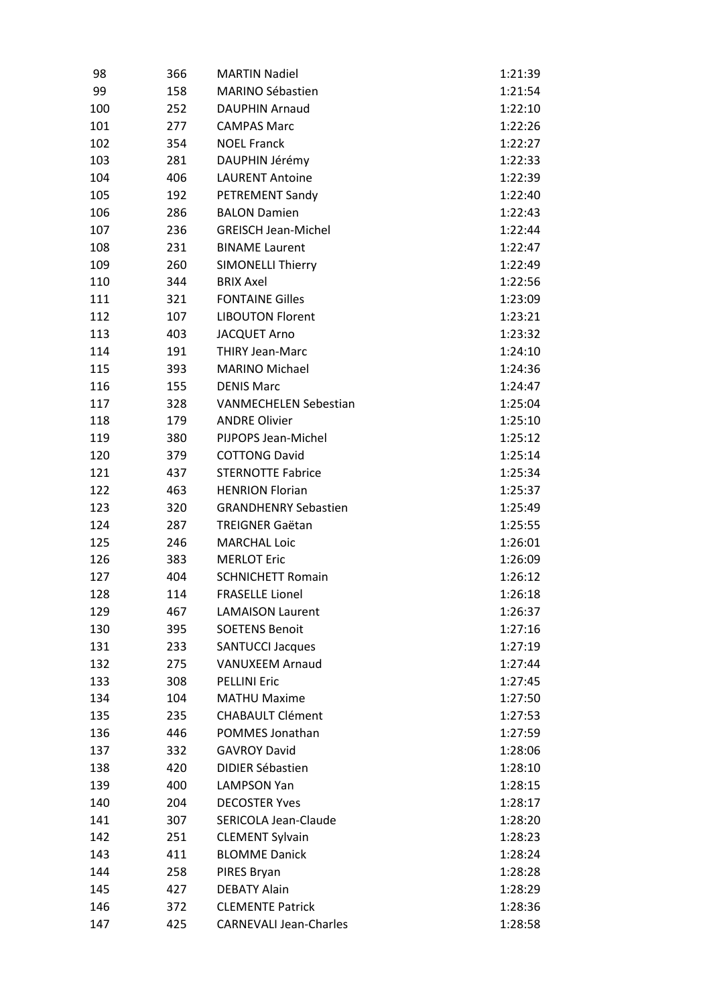| 98  | 366 | <b>MARTIN Nadiel</b>          | 1:21:39            |
|-----|-----|-------------------------------|--------------------|
| 99  | 158 | <b>MARINO Sébastien</b>       | 1:21:54            |
| 100 | 252 | <b>DAUPHIN Arnaud</b>         | 1:22:10            |
| 101 | 277 | <b>CAMPAS Marc</b>            | 1:22:26            |
| 102 | 354 | <b>NOEL Franck</b>            | 1:22:27            |
| 103 | 281 | DAUPHIN Jérémy                | 1:22:33            |
| 104 | 406 | <b>LAURENT Antoine</b>        | 1:22:39            |
| 105 | 192 | PETREMENT Sandy               | 1:22:40            |
| 106 | 286 | <b>BALON Damien</b>           | 1:22:43            |
| 107 | 236 | <b>GREISCH Jean-Michel</b>    | 1:22:44            |
| 108 | 231 | <b>BINAME Laurent</b>         | 1:22:47            |
| 109 | 260 | <b>SIMONELLI Thierry</b>      | 1:22:49            |
| 110 | 344 | <b>BRIX Axel</b>              | 1:22:56            |
| 111 | 321 | <b>FONTAINE Gilles</b>        | 1:23:09            |
| 112 | 107 | <b>LIBOUTON Florent</b>       | 1:23:21            |
| 113 | 403 | <b>JACQUET Arno</b>           | 1:23:32            |
| 114 | 191 | <b>THIRY Jean-Marc</b>        | 1:24:10            |
| 115 | 393 | <b>MARINO Michael</b>         | 1:24:36            |
| 116 | 155 | <b>DENIS Marc</b>             | 1:24:47            |
| 117 | 328 | <b>VANMECHELEN Sebestian</b>  | 1:25:04            |
| 118 | 179 | <b>ANDRE Olivier</b>          | 1:25:10            |
| 119 | 380 | PIJPOPS Jean-Michel           | 1:25:12            |
| 120 | 379 | <b>COTTONG David</b>          | 1:25:14            |
| 121 | 437 | <b>STERNOTTE Fabrice</b>      | 1:25:34            |
| 122 | 463 | <b>HENRION Florian</b>        | 1:25:37            |
| 123 | 320 | <b>GRANDHENRY Sebastien</b>   | 1:25:49            |
| 124 | 287 | <b>TREIGNER Gaëtan</b>        | 1:25:55            |
| 125 | 246 | <b>MARCHAL Loic</b>           | 1:26:01            |
| 126 | 383 | <b>MERLOT Eric</b>            | 1:26:09            |
| 127 | 404 | <b>SCHNICHETT Romain</b>      | 1:26:12            |
| 128 | 114 | <b>FRASELLE Lionel</b>        | 1:26:18            |
|     | 467 | <b>LAMAISON Laurent</b>       |                    |
| 129 |     | <b>SOETENS Benoit</b>         | 1:26:37            |
| 130 | 395 |                               | 1:27:16<br>1:27:19 |
| 131 | 233 | <b>SANTUCCI Jacques</b>       |                    |
| 132 | 275 | <b>VANUXEEM Arnaud</b>        | 1:27:44            |
| 133 | 308 | <b>PELLINI Eric</b>           | 1:27:45            |
| 134 | 104 | <b>MATHU Maxime</b>           | 1:27:50            |
| 135 | 235 | <b>CHABAULT Clément</b>       | 1:27:53            |
| 136 | 446 | <b>POMMES Jonathan</b>        | 1:27:59            |
| 137 | 332 | <b>GAVROY David</b>           | 1:28:06            |
| 138 | 420 | <b>DIDIER Sébastien</b>       | 1:28:10            |
| 139 | 400 | <b>LAMPSON Yan</b>            | 1:28:15            |
| 140 | 204 | <b>DECOSTER Yves</b>          | 1:28:17            |
| 141 | 307 | SERICOLA Jean-Claude          | 1:28:20            |
| 142 | 251 | <b>CLEMENT Sylvain</b>        | 1:28:23            |
| 143 | 411 | <b>BLOMME Danick</b>          | 1:28:24            |
| 144 | 258 | PIRES Bryan                   | 1:28:28            |
| 145 | 427 | <b>DEBATY Alain</b>           | 1:28:29            |
| 146 | 372 | <b>CLEMENTE Patrick</b>       | 1:28:36            |
| 147 | 425 | <b>CARNEVALI Jean-Charles</b> | 1:28:58            |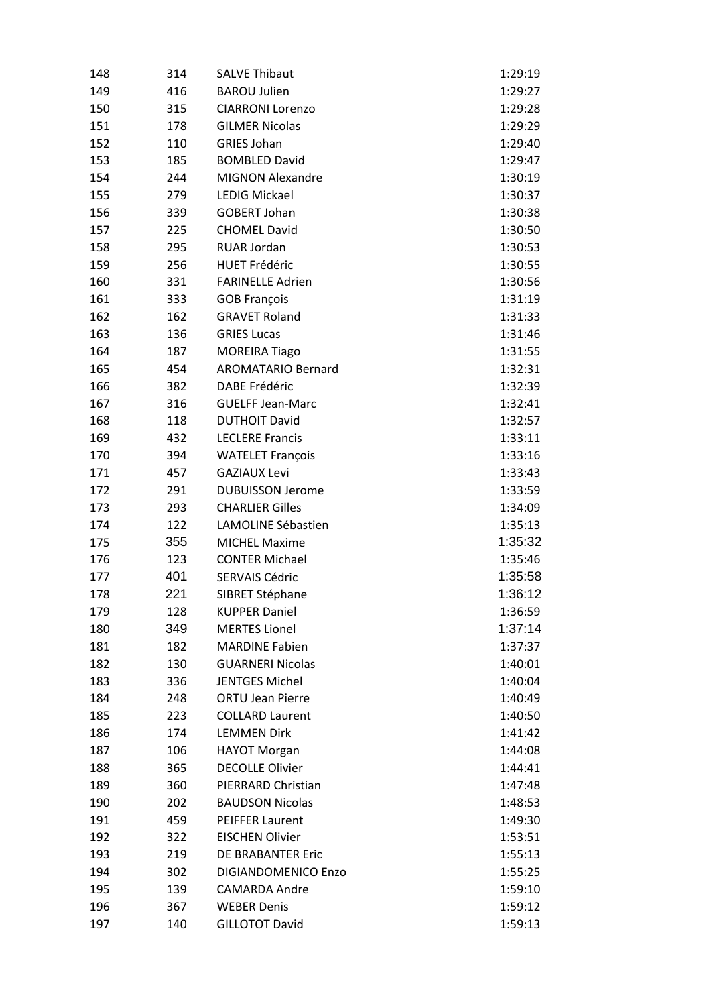| 148 | 314 | <b>SALVE Thibaut</b>       | 1:29:19 |
|-----|-----|----------------------------|---------|
| 149 | 416 | <b>BAROU Julien</b>        | 1:29:27 |
| 150 | 315 | <b>CIARRONI Lorenzo</b>    | 1:29:28 |
| 151 | 178 | <b>GILMER Nicolas</b>      | 1:29:29 |
| 152 | 110 | <b>GRIES Johan</b>         | 1:29:40 |
| 153 | 185 | <b>BOMBLED David</b>       | 1:29:47 |
| 154 | 244 | <b>MIGNON Alexandre</b>    | 1:30:19 |
| 155 | 279 | LEDIG Mickael              | 1:30:37 |
| 156 | 339 | <b>GOBERT Johan</b>        | 1:30:38 |
| 157 | 225 | <b>CHOMEL David</b>        | 1:30:50 |
| 158 | 295 | <b>RUAR Jordan</b>         | 1:30:53 |
| 159 | 256 | <b>HUET Frédéric</b>       | 1:30:55 |
| 160 | 331 | <b>FARINELLE Adrien</b>    | 1:30:56 |
| 161 | 333 | <b>GOB François</b>        | 1:31:19 |
| 162 | 162 | <b>GRAVET Roland</b>       | 1:31:33 |
| 163 | 136 | <b>GRIES Lucas</b>         | 1:31:46 |
| 164 | 187 | <b>MOREIRA Tiago</b>       | 1:31:55 |
| 165 | 454 | <b>AROMATARIO Bernard</b>  | 1:32:31 |
| 166 | 382 | <b>DABE Frédéric</b>       | 1:32:39 |
| 167 | 316 | <b>GUELFF Jean-Marc</b>    | 1:32:41 |
| 168 | 118 | <b>DUTHOIT David</b>       | 1:32:57 |
| 169 | 432 | <b>LECLERE Francis</b>     | 1:33:11 |
| 170 | 394 | <b>WATELET François</b>    | 1:33:16 |
| 171 | 457 | <b>GAZIAUX Levi</b>        | 1:33:43 |
| 172 | 291 | <b>DUBUISSON Jerome</b>    | 1:33:59 |
| 173 | 293 | <b>CHARLIER Gilles</b>     | 1:34:09 |
| 174 | 122 | LAMOLINE Sébastien         | 1:35:13 |
| 175 | 355 | <b>MICHEL Maxime</b>       | 1:35:32 |
| 176 | 123 | <b>CONTER Michael</b>      | 1:35:46 |
| 177 | 401 | <b>SERVAIS Cédric</b>      | 1:35:58 |
| 178 | 221 | SIBRET Stéphane            | 1:36:12 |
| 179 | 128 | <b>KUPPER Daniel</b>       | 1:36:59 |
| 180 | 349 | <b>MERTES Lionel</b>       | 1:37:14 |
| 181 | 182 | <b>MARDINE Fabien</b>      | 1:37:37 |
| 182 | 130 | <b>GUARNERI Nicolas</b>    | 1:40:01 |
| 183 | 336 | <b>JENTGES Michel</b>      | 1:40:04 |
| 184 | 248 | <b>ORTU Jean Pierre</b>    | 1:40:49 |
| 185 | 223 | <b>COLLARD Laurent</b>     | 1:40:50 |
| 186 | 174 | <b>LEMMEN Dirk</b>         | 1:41:42 |
| 187 | 106 | <b>HAYOT Morgan</b>        | 1:44:08 |
| 188 | 365 | <b>DECOLLE Olivier</b>     | 1:44:41 |
| 189 | 360 | PIERRARD Christian         | 1:47:48 |
| 190 | 202 | <b>BAUDSON Nicolas</b>     | 1:48:53 |
| 191 | 459 | <b>PEIFFER Laurent</b>     | 1:49:30 |
| 192 | 322 | <b>EISCHEN Olivier</b>     | 1:53:51 |
| 193 | 219 | DE BRABANTER Eric          | 1:55:13 |
| 194 | 302 | <b>DIGIANDOMENICO Enzo</b> | 1:55:25 |
| 195 | 139 | <b>CAMARDA Andre</b>       | 1:59:10 |
| 196 | 367 | <b>WEBER Denis</b>         | 1:59:12 |
| 197 | 140 | <b>GILLOTOT David</b>      | 1:59:13 |
|     |     |                            |         |